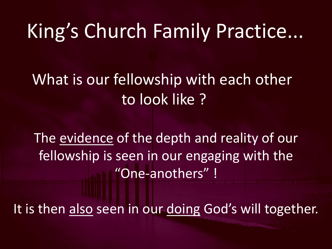What is our fellowship with each other to look like ?

The evidence of the depth and reality of our fellowship is seen in our engaging with the "One-anothers" !

It is then also seen in our doing God's will together.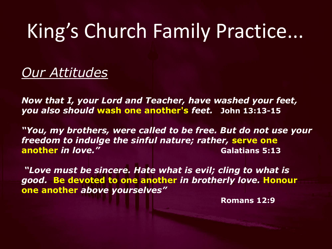*Our Attitudes*

*Now that I, your Lord and Teacher, have washed your feet, you also should* **wash one another's** *feet.* **John 13:13-15**

*"You, my brothers, were called to be free. But do not use your freedom to indulge the sinful nature; rather,* **serve one another in love." Galatians 5:13** 

*"Love must be sincere. Hate what is evil; cling to what is good.* **Be devoted to one another** *in brotherly love.* **Honour one another** *above yourselves"*

**Romans 12:9**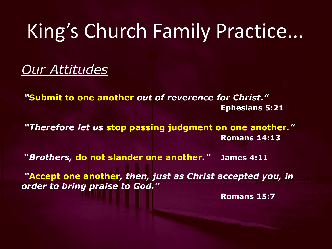*Our Attitudes*

*"***Submit to one another** *out of reverence for Christ."*  **Ephesians 5:21**

*"Therefore let us* **stop passing judgment on one another***."* **Romans 14:13**

**"***Brothers,* **do not slander one another***."* **James 4:11**

*"***Accept one another***, then, just as Christ accepted you, in order to bring praise to God."*

**Romans 15:7**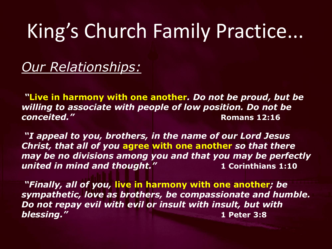### *Our Relationships:*

*"***Live in harmony with one another***. Do not be proud, but be willing to associate with people of low position. Do not be conceited."* **Romans 12:16** 

*"I appeal to you, brothers, in the name of our Lord Jesus Christ, that all of you* **agree with one another** *so that there may be no divisions among you and that you may be perfectly united in mind and thought."* **1 Corinthians 1:10**

*"Finally, all of you,* **live in harmony with one another***; be sympathetic, love as brothers, be compassionate and humble. Do not repay evil with evil or insult with insult, but with blessing."* **1 Peter 3:8**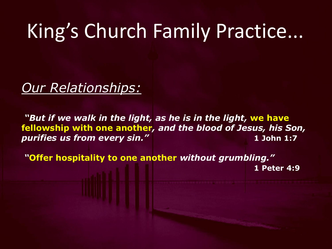*Our Relationships:*

*"But if we walk in the light, as he is in the light,* **we have fellowship with one another***, and the blood of Jesus, his Son, purifies us from every sin."* **1 John 1:7** 

*"***Offer hospitality to one another** *without grumbling."*  **1 Peter 4:9**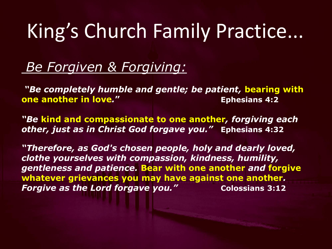#### *Be Forgiven & Forgiving:*

*"Be completely humble and gentle; be patient,* **bearing with one another in love***.***" Ephesians 4:2**

*"Be* **kind and compassionate to one another***, forgiving each other, just as in Christ God forgave you."* **Ephesians 4:32**

*"Therefore, as God's chosen people, holy and dearly loved, clothe yourselves with compassion, kindness, humility, gentleness and patience.* **Bear with one another** *and* **forgive whatever grievances you may have against one another***. Forgive as the Lord forgave you."* Colossians 3:12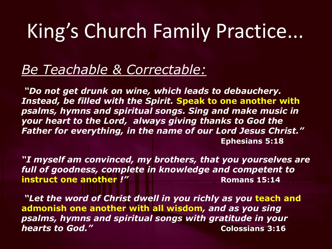#### *Be Teachable & Correctable:*

*"Do not get drunk on wine, which leads to debauchery. Instead, be filled with the Spirit.* **Speak to one another with**  *psalms, hymns and spiritual songs. Sing and make music in your heart to the Lord, always giving thanks to God the Father for everything, in the name of our Lord Jesus Christ."* **Ephesians 5:18**

*"I myself am convinced, my brothers, that you yourselves are full of goodness, complete in knowledge and competent to*  **instruct one another !" Romans 15:14** 

*"Let the word of Christ dwell in you richly as you* **teach and admonish one another with all wisdom***, and as you sing psalms, hymns and spiritual songs with gratitude in your hearts to God."* **Colossians 3:16**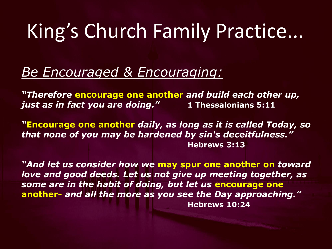#### *Be Encouraged & Encouraging:*

*"Therefore* **encourage one another** *and build each other up, just as in fact you are doing."* **1 Thessalonians 5:11**

*"***Encourage one another** *daily, as long as it is called Today, so that none of you may be hardened by sin's deceitfulness."*  **Hebrews 3:13**

*"And let us consider how we* **may spur one another on** *toward love and good deeds. Let us not give up meeting together, as some are in the habit of doing, but let us* **encourage one another-** *and all the more as you see the Day approaching."* **Hebrews 10:24**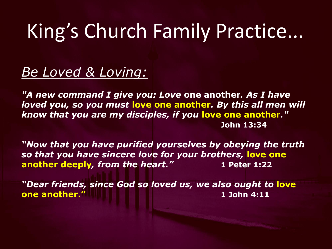*Be Loved & Loving:*

*"A new command I give you: Love* **one another***. As I have loved you, so you must* **love one another***. By this all men will know that you are my disciples, if you* **love one another***."* **John 13:34**

*"Now that you have purified yourselves by obeying the truth so that you have sincere love for your brothers,* **love one another deeply***, from the heart."* **1 Peter 1:22**

*"Dear friends, since God so loved us, we also ought to* **love one another." 1 John 4:11**